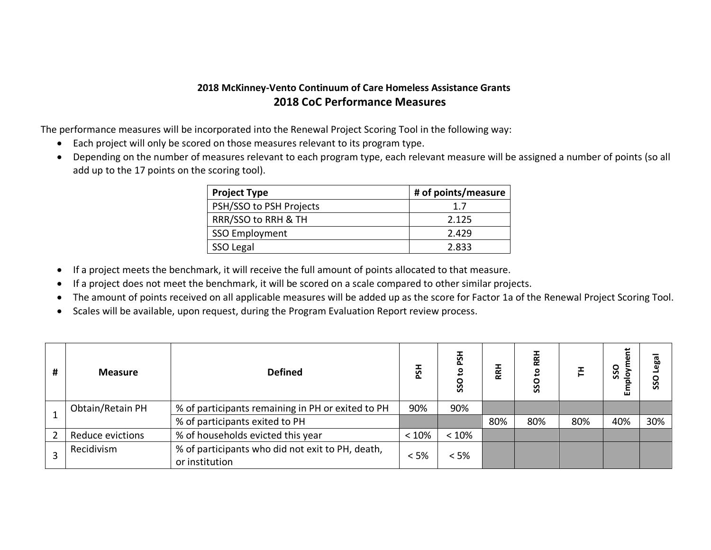## **2018 McKinney-Vento Continuum of Care Homeless Assistance Grants 2018 CoC Performance Measures**

The performance measures will be incorporated into the Renewal Project Scoring Tool in the following way:

- Each project will only be scored on those measures relevant to its program type.
- Depending on the number of measures relevant to each program type, each relevant measure will be assigned a number of points (so all add up to the 17 points on the scoring tool).

| <b>Project Type</b>     | # of points/measure |
|-------------------------|---------------------|
| PSH/SSO to PSH Projects | 17                  |
| RRR/SSO to RRH & TH     | 2.125               |
| <b>SSO Employment</b>   | 2.429               |
| SSO Legal               | 2.833               |

- If a project meets the benchmark, it will receive the full amount of points allocated to that measure.
- If a project does not meet the benchmark, it will be scored on a scale compared to other similar projects.
- The amount of points received on all applicable measures will be added up as the score for Factor 1a of the Renewal Project Scoring Tool.
- Scales will be available, upon request, during the Program Evaluation Report review process.

| #              | <b>Measure</b>   | <b>Defined</b>                                                     | РŠН   | РŠН<br>۰<br>SSO | RRH | 혽<br>ខ្<br>SSO |     | SSO<br>툽 | ega<br>SSO |
|----------------|------------------|--------------------------------------------------------------------|-------|-----------------|-----|----------------|-----|----------|------------|
|                | Obtain/Retain PH | % of participants remaining in PH or exited to PH                  | 90%   | 90%             |     |                |     |          |            |
|                |                  | % of participants exited to PH                                     |       |                 | 80% | 80%            | 80% | 40%      | 30%        |
| $\overline{2}$ | Reduce evictions | % of households evicted this year                                  | < 10% | < 10%           |     |                |     |          |            |
|                | Recidivism       | % of participants who did not exit to PH, death,<br>or institution | < 5%  | < 5%            |     |                |     |          |            |